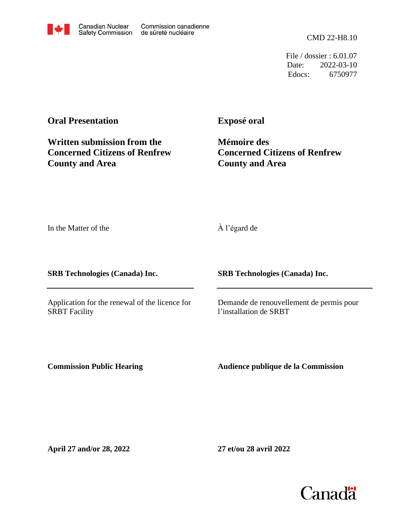CMD 22-H8.10

File / dossier : 6.01.07 Date: 2022-03-10 Edocs: 6750977

## **Oral Presentation**

**Exposé oral**

**Written submission from the Concerned Citizens of Renfrew County and Area**

**Mémoire des Concerned Citizens of Renfrew County and Area**

In the Matter of the

À l'égard de

**SRB Technologies (Canada) Inc.**

Application for the renewal of the licence for SRBT Facility

## **SRB Technologies (Canada) Inc.**

Demande de renouvellement de permis pour l'installation de SRBT

**Commission Public Hearing**

**Audience publique de la Commission**

**April 27 and/or 28, 2022**

**27 et/ou 28 avril 2022**

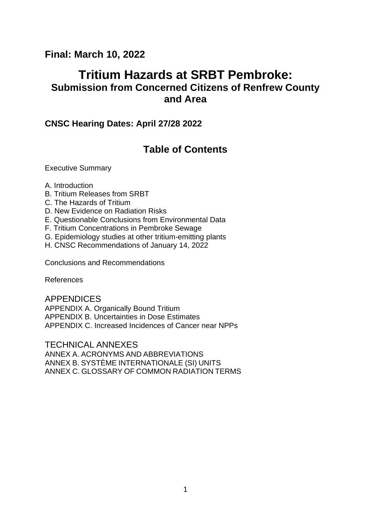# **Final: March 10, 2022**

# **Tritium Hazards at SRBT Pembroke: Submission from Concerned Citizens of Renfrew County and Area**

# **CNSC Hearing Dates: April 27/28 2022**

# **Table of Contents**

Executive Summary

- A. Introduction
- B. Tritium Releases from SRBT
- C. The Hazards of Tritium
- D. New Evidence on Radiation Risks
- E. Questionable Conclusions from Environmental Data
- F. Tritium Concentrations in Pembroke Sewage
- G. Epidemiology studies at other tritium-emitting plants
- H. CNSC Recommendations of January 14, 2022

Conclusions and Recommendations

References

APPENDICES APPENDIX A. Organically Bound Tritium APPENDIX B. Uncertainties in Dose Estimates APPENDIX C. Increased Incidences of Cancer near NPPs

TECHNICAL ANNEXES

ANNEX A. ACRONYMS AND ABBREVIATIONS ANNEX B. SYSTÈME INTERNATIONALE (SI) UNITS ANNEX C. GLOSSARY OF COMMON RADIATION TERMS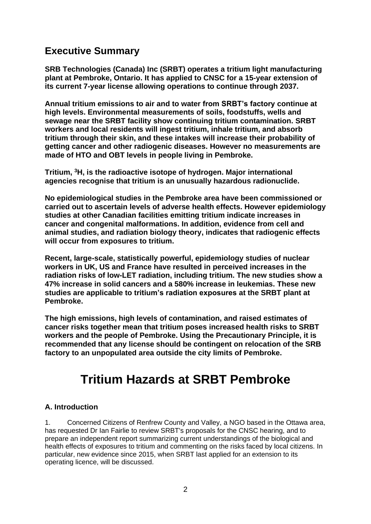# **Executive Summary**

**SRB Technologies (Canada) Inc (SRBT) operates a tritium light manufacturing plant at Pembroke, Ontario. It has applied to CNSC for a 15-year extension of its current 7-year license allowing operations to continue through 2037.**

**Annual tritium emissions to air and to water from SRBT's factory continue at high levels. Environmental measurements of soils, foodstuffs, wells and sewage near the SRBT facility show continuing tritium contamination. SRBT workers and local residents will ingest tritium, inhale tritium, and absorb tritium through their skin, and these intakes will increase their probability of getting cancer and other radiogenic diseases. However no measurements are made of HTO and OBT levels in people living in Pembroke.**

**Tritium, <sup>3</sup>H, is the radioactive isotope of hydrogen. Major international agencies recognise that tritium is an unusually hazardous radionuclide.** 

**No epidemiological studies in the Pembroke area have been commissioned or carried out to ascertain levels of adverse health effects. However epidemiology studies at other Canadian facilities emitting tritium indicate increases in cancer and congenital malformations. In addition, evidence from cell and animal studies, and radiation biology theory, indicates that radiogenic effects will occur from exposures to tritium.**

**Recent, large-scale, statistically powerful, epidemiology studies of nuclear workers in UK, US and France have resulted in perceived increases in the radiation risks of low-LET radiation, including tritium. The new studies show a 47% increase in solid cancers and a 580% increase in leukemias. These new studies are applicable to tritium's radiation exposures at the SRBT plant at Pembroke.** 

**The high emissions, high levels of contamination, and raised estimates of cancer risks together mean that tritium poses increased health risks to SRBT workers and the people of Pembroke. Using the Precautionary Principle, it is recommended that any license should be contingent on relocation of the SRB factory to an unpopulated area outside the city limits of Pembroke.**

# **Tritium Hazards at SRBT Pembroke**

#### **A. Introduction**

1. Concerned Citizens of Renfrew County and Valley, a NGO based in the Ottawa area, has requested Dr Ian Fairlie to review SRBT's proposals for the CNSC hearing, and to prepare an independent report summarizing current understandings of the biological and health effects of exposures to tritium and commenting on the risks faced by local citizens. In particular, new evidence since 2015, when SRBT last applied for an extension to its operating licence, will be discussed.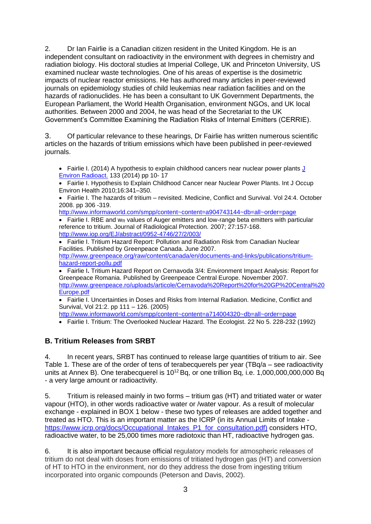2. Dr Ian Fairlie is a Canadian citizen resident in the United Kingdom. He is an independent consultant on radioactivity in the environment with degrees in chemistry and radiation biology. His doctoral studies at Imperial College, UK and Princeton University, US examined nuclear waste technologies. One of his areas of expertise is the dosimetric impacts of nuclear reactor emissions. He has authored many articles in peer-reviewed journals on epidemiology studies of child leukemias near radiation facilities and on the hazards of radionuclides. He has been a consultant to UK Government Departments, the European Parliament, the World Health Organisation, environment NGOs, and UK local authorities. Between 2000 and 2004, he was head of the Secretariat to the UK Government's Committee Examining the Radiation Risks of Internal Emitters (CERRIE).

3. Of particular relevance to these hearings, Dr Fairlie has written numerous scientific articles on the hazards of tritium emissions which have been published in peer-reviewed journals.

• Fairlie I. (2014) A hypothesis to explain childhood cancers near nuclear power plants J [Environ Radioact.](http://www.ncbi.nlm.nih.gov/pubmed/24054083) 133 (2014) pp 10- 17

• Fairlie I. Hypothesis to Explain Childhood Cancer near Nuclear Power Plants. Int J Occup Environ Health 2010;16:341–350.

• Fairlie I. The hazards of tritium – revisited. Medicine, Conflict and Survival. Vol 24:4. October 2008. pp 306 -319.

<http://www.informaworld.com/smpp/content~content=a904743144~db=all~order=page>

 $\bullet$  Fairlie I. RBE and w<sub>R</sub> values of Auger emitters and low-range beta emitters with particular reference to tritium. Journal of Radiological Protection. 2007; 27:157-168. <http://www.iop.org/EJ/abstract/0952-4746/27/2/003/>

• Fairlie I. Tritium Hazard Report: Pollution and Radiation Risk from Canadian Nuclear Facilities. Published by Greenpeace Canada. June 2007. [http://www.greenpeace.org/raw/content/canada/en/documents-and-links/publications/tritium](http://www.greenpeace.org/raw/content/canada/en/documents-and-links/publications/tritium-hazard-report-pollu.pdf)[hazard-report-pollu.pdf](http://www.greenpeace.org/raw/content/canada/en/documents-and-links/publications/tritium-hazard-report-pollu.pdf)

• Fairlie I**.** Tritium Hazard Report on Cernavoda 3/4: Environment Impact Analysis: Report for Greenpeace Romania. Published by Greenpeace Central Europe. November 2007. [http://www.greenpeace.ro/uploads/articole/Cernavoda%20Report%20for%20GP%20Central%20](http://www.greenpeace.ro/uploads/articole/Cernavoda%20Report%20for%20GP%20Central%20Europe.pdf) [Europe.pdf](http://www.greenpeace.ro/uploads/articole/Cernavoda%20Report%20for%20GP%20Central%20Europe.pdf)

• Fairlie I. Uncertainties in Doses and Risks from Internal Radiation. Medicine, Conflict and Survival, Vol 21:2. pp 111 – 126. (2005)

<http://www.informaworld.com/smpp/content~content=a714004320~db=all~order=page>

• Fairlie I. Tritium: The Overlooked Nuclear Hazard. The Ecologist. 22 No 5. 228-232 (1992)

#### **B. Tritium Releases from SRBT**

4. In recent years, SRBT has continued to release large quantities of tritium to air. See Table 1. These are of the order of tens of terabecquerels per year (TBq/a – see radioactivity units at Annex B). One terabecquerel is  $10^{12}$  Bq, or one trillion Bq, i.e.  $1,000,000,000,000$  Bq - a very large amount or radioactivity.

5. Tritium is released mainly in two forms – tritium gas (HT) and tritiated water or water vapour (HTO), in other words radioactive water or /water vapour. As a result of molecular exchange - explained in BOX 1 below - these two types of releases are added together and treated as HTO. This is an important matter as the ICRP (in its Annual Limits of Intake [https://www.icrp.org/docs/Occupational\\_Intakes\\_P1\\_for\\_consultation.pdf\)](https://www.icrp.org/docs/Occupational_Intakes_P1_for_consultation.pdf) considers HTO, radioactive water, to be 25,000 times more radiotoxic than HT, radioactive hydrogen gas.

6. It is also important because official regulatory models for atmospheric releases of tritium do not deal with doses from emissions of tritiated hydrogen gas (HT) and conversion of HT to HTO in the environment, nor do they address the dose from ingesting tritium incorporated into organic compounds (Peterson and Davis, 2002).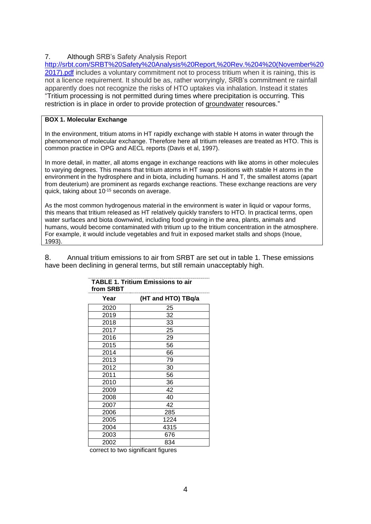#### 7. Although SRB's Safety Analysis Report

[http://srbt.com/SRBT%20Safety%20Analysis%20Report,%20Rev.%204%20\(November%20](http://srbt.com/SRBT%20Safety%20Analysis%20Report,%20Rev.%204%20(November%202017).pdf) [2017\).pdf](http://srbt.com/SRBT%20Safety%20Analysis%20Report,%20Rev.%204%20(November%202017).pdf) includes a voluntary commitment not to process tritium when it is raining, this is not a licence requirement. It should be as, rather worryingly, SRB's commitment re rainfall apparently does not recognize the risks of HTO uptakes via inhalation. Instead it states "Tritium processing is not permitted during times where precipitation is occurring. This restriction is in place in order to provide protection of groundwater resources."

#### **BOX 1. Molecular Exchange**

In the environment, tritium atoms in HT rapidly exchange with stable H atoms in water through the phenomenon of molecular exchange. Therefore here all tritium releases are treated as HTO. This is common practice in OPG and AECL reports (Davis et al, 1997).

In more detail, in matter, all atoms engage in exchange reactions with like atoms in other molecules to varying degrees. This means that tritium atoms in HT swap positions with stable H atoms in the environment in the hydrosphere and in biota, including humans. H and T, the smallest atoms (apart from deuterium) are prominent as regards exchange reactions. These exchange reactions are very quick, taking about 10-15 seconds on average.

As the most common hydrogenous material in the environment is water in liquid or vapour forms, this means that tritium released as HT relatively quickly transfers to HTO. In practical terms, open water surfaces and biota downwind, including food growing in the area, plants, animals and humans, would become contaminated with tritium up to the tritium concentration in the atmosphere. For example, it would include vegetables and fruit in exposed market stalls and shops (Inoue, 1993).

8. Annual tritium emissions to air from SRBT are set out in table 1. These emissions have been declining in general terms, but still remain unacceptably high.

| (HT and HTO) TBq/a |
|--------------------|
| 25                 |
| 32                 |
| 33                 |
| 25                 |
| 29                 |
| 56                 |
| 66                 |
| 79                 |
| 30                 |
| 56                 |
| 36                 |
| 42                 |
| 40                 |
| 42                 |
| 285                |
| 1224               |
| 4315               |
| 676                |
| 834                |
|                    |

#### **TABLE 1. Tritium Emissions to air from SRBT**

correct to two significant figures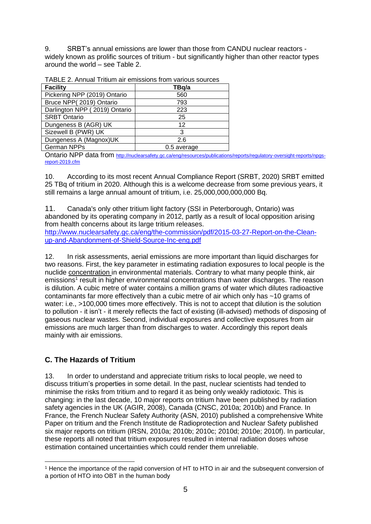9. SRBT's annual emissions are lower than those from CANDU nuclear reactors widely known as prolific sources of tritium - but significantly higher than other reactor types around the world – see Table 2.

| <b>Facility</b>               | TBq/a       |  |
|-------------------------------|-------------|--|
| Pickering NPP (2019) Ontario  | 560         |  |
| Bruce NPP(2019) Ontario       | 793         |  |
| Darlington NPP (2019) Ontario | 223         |  |
| <b>SRBT Ontario</b>           | 25          |  |
| Dungeness B (AGR) UK          | 12          |  |
| Sizewell B (PWR) UK           | 3           |  |
| Dungeness A (Magnox)UK        | 2.6         |  |
| <b>German NPPs</b>            | 0.5 average |  |

TABLE 2. Annual Tritium air emissions from various sources

Ontario NPP data from [http://nuclearsafety.gc.ca/eng/resources/publications/reports/regulatory-oversight-reports/npgs](http://nuclearsafety.gc.ca/eng/resources/publications/reports/regulatory-oversight-reports/npgs-report-2019.cfm)[report-2019.cfm](http://nuclearsafety.gc.ca/eng/resources/publications/reports/regulatory-oversight-reports/npgs-report-2019.cfm)

10. According to its most recent Annual Compliance Report (SRBT, 2020) SRBT emitted 25 TBq of tritium in 2020. Although this is a welcome decrease from some previous years, it still remains a large annual amount of tritium, i.e. 25,000,000,000,000 Bq.

11. Canada's only other tritium light factory (SSI in Peterborough, Ontario) was abandoned by its operating company in 2012, partly as a result of local opposition arising from health concerns about its large tritium releases. [http://www.nuclearsafety.gc.ca/eng/the-commission/pdf/2015-03-27-Report-on-the-Clean-](http://www.nuclearsafety.gc.ca/eng/the-commission/pdf/2015-03-27-Report-on-the-Clean-up-and-Abandonment-of-Shield-Source-Inc-eng.pdf)

[up-and-Abandonment-of-Shield-Source-Inc-eng.pdf](http://www.nuclearsafety.gc.ca/eng/the-commission/pdf/2015-03-27-Report-on-the-Clean-up-and-Abandonment-of-Shield-Source-Inc-eng.pdf)

12. In risk assessments, aerial emissions are more important than liquid discharges for two reasons. First, the key parameter in estimating radiation exposures to local people is the nuclide concentration in environmental materials. Contrary to what many people think, air emissions<sup>1</sup> result in higher environmental concentrations than water discharges. The reason is dilution. A cubic metre of water contains a million grams of water which dilutes radioactive contaminants far more effectively than a cubic metre of air which only has ~10 grams of water: i.e., >100,000 times more effectively. This is not to accept that dilution is the solution to pollution - it isn't - it merely reflects the fact of existing (ill-advised) methods of disposing of gaseous nuclear wastes. Second, individual exposures and collective exposures from air emissions are much larger than from discharges to water. Accordingly this report deals mainly with air emissions.

## **C. The Hazards of Tritium**

13. In order to understand and appreciate tritium risks to local people, we need to discuss tritium's properties in some detail. In the past, nuclear scientists had tended to minimise the risks from tritium and to regard it as being only weakly radiotoxic. This is changing: in the last decade, 10 major reports on tritium have been published by radiation safety agencies in the UK (AGIR, 2008), Canada (CNSC, 2010a; 2010b) and France. In France, the French Nuclear Safety Authority (ASN, 2010) published a comprehensive White Paper on tritium and the French Institute de Radioprotection and Nuclear Safety published six major reports on tritium (IRSN, 2010a; 2010b; 2010c; 2010d; 2010e; 2010f). In particular, these reports all noted that tritium exposures resulted in internal radiation doses whose estimation contained uncertainties which could render them unreliable.

<sup>1</sup> Hence the importance of the rapid conversion of HT to HTO in air and the subsequent conversion of a portion of HTO into OBT in the human body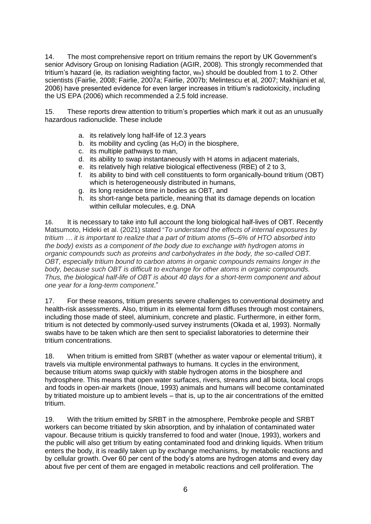14. The most comprehensive report on tritium remains the report by UK Government's senior Advisory Group on Ionising Radiation (AGIR, 2008). This strongly recommended that tritium's hazard (ie, its radiation weighting factor,  $w_R$ ) should be doubled from 1 to 2. Other scientists (Fairlie, 2008; Fairlie, 2007a; Fairlie, 2007b; Melintescu et al, 2007; Makhijani et al, 2006) have presented evidence for even larger increases in tritium's radiotoxicity, including the US EPA (2006) which recommended a 2.5 fold increase.

15. These reports drew attention to tritium's properties which mark it out as an unusually hazardous radionuclide. These include

- a. its relatively long half-life of 12.3 years
- b. its mobility and cycling (as  $H_2O$ ) in the biosphere,
- c. its multiple pathways to man,
- d. its ability to swap instantaneously with H atoms in adjacent materials,
- e. its relatively high relative biological effectiveness (RBE) of 2 to 3,
- f. its ability to bind with cell constituents to form organically-bound tritium (OBT) which is heterogeneously distributed in humans,
- g. its long residence time in bodies as OBT, and
- h. its short-range beta particle, meaning that its damage depends on location within cellular molecules, e.g. DNA

16. It is necessary to take into full account the long biological half-lives of OBT. Recently Matsumoto, Hideki et al. (2021) stated "*To understand the effects of internal exposures by tritium … it is important to realize that a part of tritium atoms (5–6% of HTO absorbed into the body) exists as a component of the body due to exchange with hydrogen atoms in organic compounds such as proteins and carbohydrates in the body, the so-called OBT. OBT, especially tritium bound to carbon atoms in organic compounds remains longer in the body, because such OBT is difficult to exchange for other atoms in organic compounds. Thus, the biological half-life of OBT is about 40 days for a short-term component and about one year for a long-term component*."

17. For these reasons, tritium presents severe challenges to conventional dosimetry and health-risk assessments. Also, tritium in its elemental form diffuses through most containers, including those made of steel, aluminium, concrete and plastic. Furthermore, in either form, tritium is not detected by commonly-used survey instruments (Okada et al, 1993). Normally swabs have to be taken which are then sent to specialist laboratories to determine their tritium concentrations.

18. When tritium is emitted from SRBT (whether as water vapour or elemental tritium), it travels via multiple environmental pathways to humans. It cycles in the environment, because tritium atoms swap quickly with stable hydrogen atoms in the biosphere and hydrosphere. This means that open water surfaces, rivers, streams and all biota, local crops and foods in open-air markets (Inoue, 1993) animals and humans will become contaminated by tritiated moisture up to ambient levels – that is, up to the air concentrations of the emitted tritium.

19. With the tritium emitted by SRBT in the atmosphere, Pembroke people and SRBT workers can become tritiated by skin absorption, and by inhalation of contaminated water vapour. Because tritium is quickly transferred to food and water (Inoue, 1993), workers and the public will also get tritium by eating contaminated food and drinking liquids. When tritium enters the body, it is readily taken up by exchange mechanisms, by metabolic reactions and by cellular growth. Over 60 per cent of the body's atoms are hydrogen atoms and every day about five per cent of them are engaged in metabolic reactions and cell proliferation. The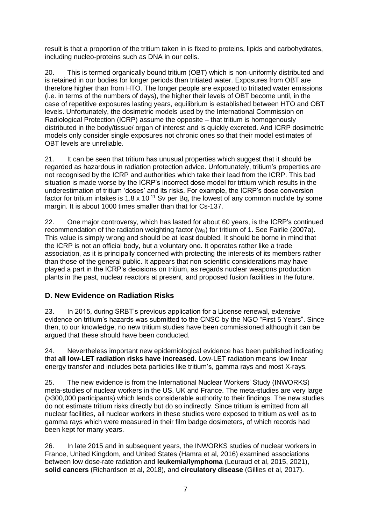result is that a proportion of the tritium taken in is fixed to proteins, lipids and carbohydrates, including nucleo-proteins such as DNA in our cells.

20. This is termed organically bound tritium (OBT) which is non-uniformly distributed and is retained in our bodies for longer periods than tritiated water. Exposures from OBT are therefore higher than from HTO. The longer people are exposed to tritiated water emissions (i.e. in terms of the numbers of days), the higher their levels of OBT become until, in the case of repetitive exposures lasting years, equilibrium is established between HTO and OBT levels. Unfortunately, the dosimetric models used by the International Commission on Radiological Protection (ICRP) assume the opposite – that tritium is homogenously distributed in the body/tissue/ organ of interest and is quickly excreted. And ICRP dosimetric models only consider single exposures not chronic ones so that their model estimates of OBT levels are unreliable.

21. It can be seen that tritium has unusual properties which suggest that it should be regarded as hazardous in radiation protection advice. Unfortunately, tritium's properties are not recognised by the ICRP and authorities which take their lead from the ICRP. This bad situation is made worse by the ICRP's incorrect dose model for tritium which results in the underestimation of tritium 'doses' and its risks. For example, the ICRP's dose conversion factor for tritium intakes is  $1.8 \times 10^{-11}$  Sv per Bq, the lowest of any common nuclide by some margin. It is about 1000 times smaller than that for Cs-137.

22. One major controversy, which has lasted for about 60 years, is the ICRP's continued recommendation of the radiation weighting factor ( $w<sub>R</sub>$ ) for tritium of 1. See Fairlie (2007a). This value is simply wrong and should be at least doubled. It should be borne in mind that the ICRP is not an official body, but a voluntary one. It operates rather like a trade association, as it is principally concerned with protecting the interests of its members rather than those of the general public. It appears that non-scientific considerations may have played a part in the ICRP's decisions on tritium, as regards nuclear weapons production plants in the past, nuclear reactors at present, and proposed fusion facilities in the future.

## **D. New Evidence on Radiation Risks**

23. In 2015, during SRBT's previous application for a License renewal, extensive evidence on tritium's hazards was submitted to the CNSC by the NGO "First 5 Years". Since then, to our knowledge, no new tritium studies have been commissioned although it can be argued that these should have been conducted.

24. Nevertheless important new epidemiological evidence has been published indicating that **all low-LET radiation risks have increased**. Low-LET radiation means low linear energy transfer and includes beta particles like tritium's, gamma rays and most X-rays.

25. The new evidence is from the International Nuclear Workers' Study (INWORKS) meta-studies of nuclear workers in the US, UK and France. The meta-studies are very large (>300,000 participants) which lends considerable authority to their findings. The new studies do not estimate tritium risks directly but do so indirectly. Since tritium is emitted from all nuclear facilities, all nuclear workers in these studies were exposed to tritium as well as to gamma rays which were measured in their film badge dosimeters, of which records had been kept for many years.

26. In late 2015 and in subsequent years, the INWORKS studies of nuclear workers in France, United Kingdom, and United States (Hamra et al, 2016) examined associations between low dose-rate radiation and **leukemia/lymphoma** (Leuraud et al, 2015, 2021), **solid cancers** (Richardson et al, 2018), and **circulatory disease** (Gillies et al, 2017).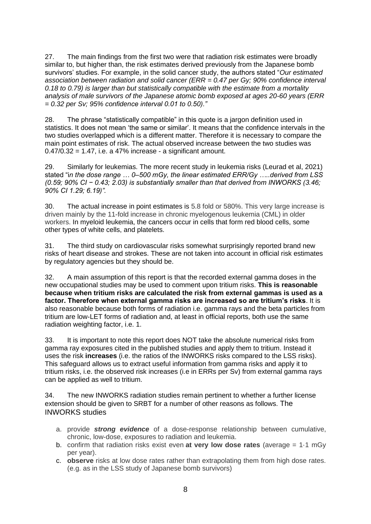27. The main findings from the first two were that radiation risk estimates were broadly similar to, but higher than, the risk estimates derived previously from the Japanese bomb survivors' studies. For example, in the solid cancer study, the authors stated "*Our estimated association between radiation and solid cancer (ERR = 0.47 per Gy; 90% confidence interval 0.18 to 0.79) is larger than but statistically compatible with the estimate from a mortality analysis of male survivors of the Japanese atomic bomb exposed at ages 20-60 years (ERR = 0.32 per Sv; 95% confidence interval 0.01 to 0.50)."*

28. The phrase "statistically compatible" in this quote is a jargon definition used in statistics. It does not mean 'the same or similar'. It means that the confidence intervals in the two studies overlapped which is a different matter. Therefore it is necessary to compare the main point estimates of risk. The actual observed increase between the two studies was  $0.47/0.32 = 1.47$ , i.e. a 47% increase - a significant amount.

29. Similarly for leukemias. The more recent study in leukemia risks (Leurad et al, 2021) stated "i*n the dose range … 0–500 mGy, the linear estimated ERR/Gy …..derived from LSS (0.59; 90% CI − 0.43; 2.03) is substantially smaller than that derived from INWORKS (3.46; 90% CI 1.29; 6.19)".* 

30. The actual increase in point estimates is 5.8 fold or 580%. This very large increase is driven mainly by the 11-fold increase in chronic myelogenous leukemia (CML) in older workers. In myeloid leukemia, the cancers occur in cells that form red blood cells, some other types of white cells, and platelets.

31. The third study on cardiovascular risks somewhat surprisingly reported brand new risks of heart disease and strokes. These are not taken into account in official risk estimates by regulatory agencies but they should be.

32. A main assumption of this report is that the recorded external gamma doses in the new occupational studies may be used to comment upon tritium risks. **This is reasonable because when tritium risks are calculated the risk from external gammas is used as a factor. Therefore when external gamma risks are increased so are tritium's risks**. It is also reasonable because both forms of radiation i.e. gamma rays and the beta particles from tritium are low-LET forms of radiation and, at least in official reports, both use the same radiation weighting factor, i.e. 1.

33. It is important to note this report does NOT take the absolute numerical risks from gamma ray exposures cited in the published studies and apply them to tritium. Instead it uses the risk **increases** (i.e. the ratios of the INWORKS risks compared to the LSS risks). This safeguard allows us to extract useful information from gamma risks and apply it to tritium risks, i.e. the observed risk increases (i.e in ERRs per Sv) from external gamma rays can be applied as well to tritium.

34. The new INWORKS radiation studies remain pertinent to whether a further license extension should be given to SRBT for a number of other reasons as follows. The INWORKS studies

- a. provide *strong evidence* of a dose-response relationship between cumulative, chronic, low-dose, exposures to radiation and leukemia.
- b. confirm that radiation risks exist even **at very low dose rates** (average = 1·1 mGy per year).
- c. **observe** risks at low dose rates rather than extrapolating them from high dose rates. (e.g. as in the LSS study of Japanese bomb survivors)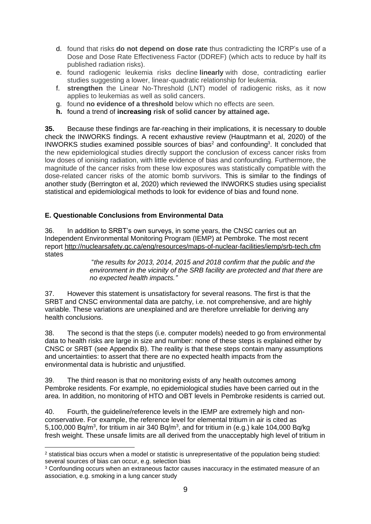- d. found that risks **do not depend on dose rate** thus contradicting the ICRP's use of a Dose and Dose Rate Effectiveness Factor (DDREF) (which acts to reduce by half its published radiation risks).
- e. found radiogenic leukemia risks decline **linearly** with dose, contradicting earlier studies suggesting a lower, linear-quadratic relationship for leukemia.
- f. **strengthen** the Linear No-Threshold (LNT) model of radiogenic risks, as it now applies to leukemias as well as solid cancers.
- g. found **no evidence of a threshold** below which no effects are seen.
- **h.** found a trend of **increasing risk of solid cancer by attained age.**

**35.** Because these findings are far-reaching in their implications, it is necessary to double check the INWORKS findings. A recent exhaustive review (Hauptmann et al, 2020) of the INWORKS studies examined possible sources of bias<sup>2</sup> and confounding<sup>3</sup>. It concluded that the new epidemiological studies directly support the conclusion of excess cancer risks from low doses of ionising radiation, with little evidence of bias and confounding. Furthermore, the magnitude of the cancer risks from these low exposures was statistically compatible with the dose-related cancer risks of the atomic bomb survivors. This is similar to the findings of another study (Berrington et al, 2020) which reviewed the INWORKS studies using specialist statistical and epidemiological methods to look for evidence of bias and found none.

#### **E. Questionable Conclusions from Environmental Data**

36. In addition to SRBT's own surveys, in some years, the CNSC carries out an Independent Environmental Monitoring Program (IEMP) at Pembroke. The most recent report <http://nuclearsafety.gc.ca/eng/resources/maps-of-nuclear-facilities/iemp/srb-tech.cfm> states

> "*the results for 2013, 2014, 2015 and 2018 confirm that the public and the environment in the vicinity of the SRB facility are protected and that there are no expected health impacts."*

37. However this statement is unsatisfactory for several reasons. The first is that the SRBT and CNSC environmental data are patchy, i.e. not comprehensive, and are highly variable. These variations are unexplained and are therefore unreliable for deriving any health conclusions.

38. The second is that the steps (i.e. computer models) needed to go from environmental data to health risks are large in size and number: none of these steps is explained either by CNSC or SRBT (see Appendix B). The reality is that these steps contain many assumptions and uncertainties: to assert that there are no expected health impacts from the environmental data is hubristic and unjustified.

39. The third reason is that no monitoring exists of any health outcomes among Pembroke residents. For example, no epidemiological studies have been carried out in the area. In addition, no monitoring of HTO and OBT levels in Pembroke residents is carried out.

40. Fourth, the guideline/reference levels in the IEMP are extremely high and nonconservative. For example, the reference level for elemental tritium in air is cited as 5,100,000 Bq/m<sup>3</sup>, for tritium in air 340 Bq/m<sup>3</sup>, and for tritium in (e.g.) kale 104,000 Bq/kg fresh weight. These unsafe limits are all derived from the unacceptably high level of tritium in

<sup>2</sup> statistical bias occurs when a model or statistic is unrepresentative of the population being studied: several sources of bias can occur, e.g. selection bias

<sup>&</sup>lt;sup>3</sup> Confounding occurs when an extraneous factor causes inaccuracy in the estimated measure of an association, e.g. smoking in a lung cancer study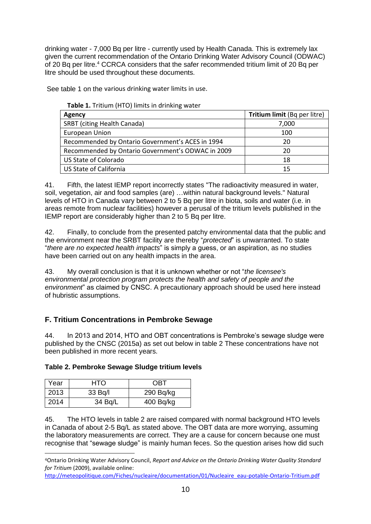drinking water - 7,000 Bq per litre - currently used by Health Canada. This is extremely lax given the current recommendation of the Ontario Drinking Water Advisory Council (ODWAC) of 20 Bq per litre.<sup>4</sup> CCRCA considers that the safer recommended tritium limit of 20 Bq per litre should be used throughout these documents.

See table 1 on the various drinking water limits in use.

| Agency                                            | <b>Tritium limit (Bq per litre)</b> |
|---------------------------------------------------|-------------------------------------|
| <b>SRBT</b> (citing Health Canada)                | 7,000                               |
| <b>European Union</b>                             | 100                                 |
| Recommended by Ontario Government's ACES in 1994  | 20                                  |
| Recommended by Ontario Government's ODWAC in 2009 | 20                                  |
| <b>US State of Colorado</b>                       | 18                                  |
| US State of California                            | 15                                  |

41. Fifth, the latest IEMP report incorrectly states "The radioactivity measured in water, soil, vegetation, air and food samples (are) …within natural background levels." Natural levels of HTO in Canada vary between 2 to 5 Bq per litre in biota, soils and water (i.e. in areas remote from nuclear facilities) however a perusal of the tritium levels published in the IEMP report are considerably higher than 2 to 5 Bq per litre.

42. Finally, to conclude from the presented patchy environmental data that the public and the environment near the SRBT facility are thereby "*protected*" is unwarranted. To state "*there are no expected health impacts*" is simply a guess, or an aspiration, as no studies have been carried out on any health impacts in the area.

43. My overall conclusion is that it is unknown whether or not "*the licensee's environmental protection program protects the health and safety of people and the environment*" as claimed by CNSC. A precautionary approach should be used here instead of hubristic assumptions.

# **F. Tritium Concentrations in Pembroke Sewage**

44. In 2013 and 2014, HTO and OBT concentrations is Pembroke's sewage sludge were published by the CNSC (2015a) as set out below in table 2 These concentrations have not been published in more recent years.

| Table 2. Pembroke Sewage Sludge tritium levels |  |  |
|------------------------------------------------|--|--|
|                                                |  |  |

| Year | HTO     | OBT         |
|------|---------|-------------|
| 2013 | 33 Bq/l | $290$ Bq/kg |
| 2014 | 34 Bq/L | 400 Bq/kg   |

45. The HTO levels in table 2 are raised compared with normal background HTO levels in Canada of about 2-5 Bq/L as stated above. The OBT data are more worrying, assuming the laboratory measurements are correct. They are a cause for concern because one must recognise that "sewage sludge" is mainly human feces. So the question arises how did such

[http://meteopolitique.com/Fiches/nucleaire/documentation/01/Nucleaire\\_eau-potable-Ontario-Tritium.pdf](http://meteopolitique.com/Fiches/nucleaire/documentation/01/Nucleaire_eau-potable-Ontario-Tritium.pdf)

<sup>4</sup>Ontario Drinking Water Advisory Council, *Report and Advice on the Ontario Drinking Water Quality Standard for Tritium* (2009), available online: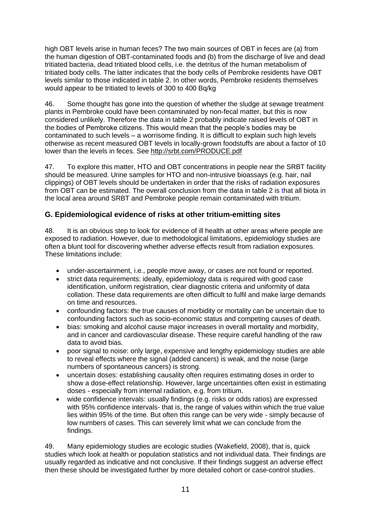high OBT levels arise in human feces? The two main sources of OBT in feces are (a) from the human digestion of OBT-contaminated foods and (b) from the discharge of live and dead tritiated bacteria, dead tritiated blood cells, i.e. the detritus of the human metabolism of tritiated body cells. The latter indicates that the body cells of Pembroke residents have OBT levels similar to those indicated in table 2. In other words, Pembroke residents themselves would appear to be tritiated to levels of 300 to 400 Bq/kg

46. Some thought has gone into the question of whether the sludge at sewage treatment plants in Pembroke could have been contaminated by non-fecal matter, but this is now considered unlikely. Therefore the data in table 2 probably indicate raised levels of OBT in the bodies of Pembroke citizens. This would mean that the people's bodies may be contaminated to such levels – a worrisome finding. It is difficult to explain such high levels otherwise as recent measured OBT levels in locally-grown foodstuffs are about a factor of 10 lower than the levels in feces. See<http://srbt.com/PRODUCE.pdf>

47. To explore this matter, HTO and OBT concentrations in people near the SRBT facility should be measured. Urine samples for HTO and non-intrusive bioassays (e.g. hair, nail clippings) of OBT levels should be undertaken in order that the risks of radiation exposures from OBT can be estimated. The overall conclusion from the data in table 2 is that all biota in the local area around SRBT and Pembroke people remain contaminated with tritium.

## **G. Epidemiological evidence of risks at other tritium-emitting sites**

48. It is an obvious step to look for evidence of ill health at other areas where people are exposed to radiation. However, due to methodological limitations, epidemiology studies are often a blunt tool for discovering whether adverse effects result from radiation exposures. These limitations include:

- under-ascertainment, i.e., people move away, or cases are not found or reported.
- strict data requirements: ideally, epidemiology data is required with good case identification, uniform registration, clear diagnostic criteria and uniformity of data collation. These data requirements are often difficult to fulfil and make large demands on time and resources.
- confounding factors: the true causes of morbidity or mortality can be uncertain due to confounding factors such as socio-economic status and competing causes of death.
- bias: smoking and alcohol cause major increases in overall mortality and morbidity, and in cancer and cardiovascular disease. These require careful handling of the raw data to avoid bias.
- poor signal to noise: only large, expensive and lengthy epidemiology studies are able to reveal effects where the signal (added cancers) is weak, and the noise (large numbers of spontaneous cancers) is strong.
- uncertain doses: establishing causality often requires estimating doses in order to show a dose-effect relationship. However, large uncertainties often exist in estimating doses - especially from internal radiation, e.g. from tritium.
- wide confidence intervals: usually findings (e.g. risks or odds ratios) are expressed with 95% confidence intervals- that is, the range of values within which the true value lies within 95% of the time. But often this range can be very wide - simply because of low numbers of cases. This can severely limit what we can conclude from the findings.

49. Many epidemiology studies are ecologic studies (Wakefield, 2008), that is, quick studies which look at health or population statistics and not individual data. Their findings are usually regarded as indicative and not conclusive. If their findings suggest an adverse effect then these should be investigated further by more detailed cohort or case-control studies.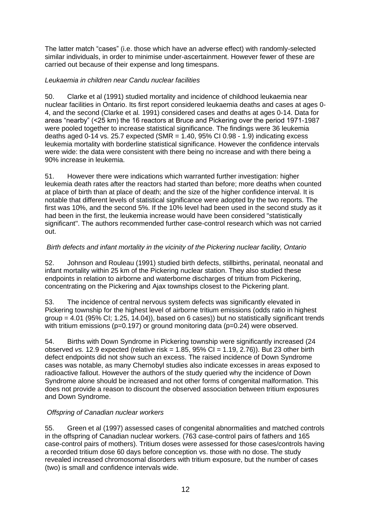The latter match "cases" (i.e. those which have an adverse effect) with randomly-selected similar individuals, in order to minimise under-ascertainment. However fewer of these are carried out because of their expense and long timespans.

#### *Leukaemia in children near Candu nuclear facilities*

50. Clarke et al (1991) studied mortality and incidence of childhood leukaemia near nuclear facilities in Ontario. Its first report considered leukaemia deaths and cases at ages 0- 4, and the second (Clarke et al*.* 1991) considered cases and deaths at ages 0-14. Data for areas "nearby" (<25 km) the 16 reactors at Bruce and Pickering over the period 1971-1987 were pooled together to increase statistical significance. The findings were 36 leukemia deaths aged 0-14 vs. 25.7 expected (SMR =  $1.40$ , 95% CI 0.98 -  $1.9$ ) indicating excess leukemia mortality with borderline statistical significance. However the confidence intervals were wide: the data were consistent with there being no increase and with there being a 90% increase in leukemia.

51. However there were indications which warranted further investigation: higher leukemia death rates after the reactors had started than before; more deaths when counted at place of birth than at place of death; and the size of the higher confidence interval. It is notable that different levels of statistical significance were adopted by the two reports. The first was 10%, and the second 5%. If the 10% level had been used in the second study as it had been in the first, the leukemia increase would have been considered "statistically significant". The authors recommended further case-control research which was not carried out.

#### *Birth defects and infant mortality in the vicinity of the Pickering nuclear facility, Ontario*

52. Johnson and Rouleau (1991) studied birth defects, stillbirths, perinatal, neonatal and infant mortality within 25 km of the Pickering nuclear station. They also studied these endpoints in relation to airborne and waterborne discharges of tritium from Pickering, concentrating on the Pickering and Ajax townships closest to the Pickering plant.

53. The incidence of central nervous system defects was significantly elevated in Pickering township for the highest level of airborne tritium emissions (odds ratio in highest group  $= 4.01$  (95% CI; 1.25, 14.04)), based on 6 cases)) but no statistically significant trends with tritium emissions (p=0.197) or ground monitoring data (p=0.24) were observed.

54. Births with Down Syndrome in Pickering township were significantly increased (24 observed *vs.* 12.9 expected (relative risk = 1.85, 95% CI = 1.19, 2.76)). But 23 other birth defect endpoints did not show such an excess. The raised incidence of Down Syndrome cases was notable, as many Chernobyl studies also indicate excesses in areas exposed to radioactive fallout. However the authors of the study queried why the incidence of Down Syndrome alone should be increased and not other forms of congenital malformation. This does not provide a reason to discount the observed association between tritium exposures and Down Syndrome.

#### *Offspring of Canadian nuclear workers*

55. Green et al (1997) assessed cases of congenital abnormalities and matched controls in the offspring of Canadian nuclear workers. (763 case-control pairs of fathers and 165 case-control pairs of mothers). Tritium doses were assessed for those cases/controls having a recorded tritium dose 60 days before conception vs. those with no dose. The study revealed increased chromosomal disorders with tritium exposure, but the number of cases (two) is small and confidence intervals wide.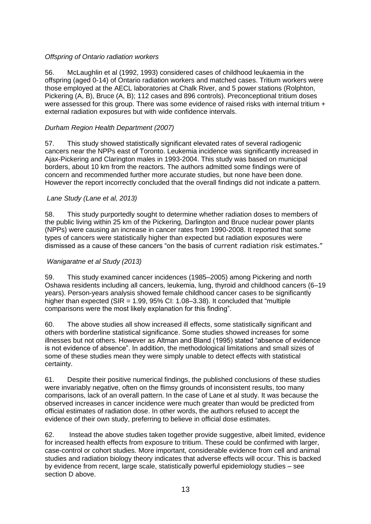#### *Offspring of Ontario radiation workers*

56. McLaughlin et al (1992, 1993) considered cases of childhood leukaemia in the offspring (aged 0-14) of Ontario radiation workers and matched cases. Tritium workers were those employed at the AECL laboratories at Chalk River, and 5 power stations (Rolphton, Pickering (A, B), Bruce (A, B); 112 cases and 896 controls). Preconceptional tritium doses were assessed for this group. There was some evidence of raised risks with internal tritium + external radiation exposures but with wide confidence intervals.

#### *Durham Region Health Department (2007)*

57. This study showed statistically significant elevated rates of several radiogenic cancers near the NPPs east of Toronto. Leukemia incidence was significantly increased in Ajax-Pickering and Clarington males in 1993-2004. This study was based on municipal borders, about 10 km from the reactors. The authors admitted some findings were of concern and recommended further more accurate studies, but none have been done. However the report incorrectly concluded that the overall findings did not indicate a pattern.

#### *Lane Study (Lane et al, 2013)*

58. This study purportedly sought to determine whether radiation doses to members of the public living within 25 km of the Pickering, Darlington and Bruce nuclear power plants (NPPs) were causing an increase in cancer rates from 1990-2008. It reported that some types of cancers were statistically higher than expected but radiation exposures were dismissed as a cause of these cancers "on the basis of current radiation risk estimates."

#### *Wanigaratne et al Study (2013)*

59. This study examined cancer incidences (1985–2005) among Pickering and north Oshawa residents including all cancers, leukemia, lung, thyroid and childhood cancers (6–19 years). Person-years analysis showed female childhood cancer cases to be significantly higher than expected ( $SIR = 1.99$ ,  $95\%$  CI: 1.08–3.38). It concluded that "multiple comparisons were the most likely explanation for this finding".

60. The above studies all show increased ill effects, some statistically significant and others with borderline statistical significance. Some studies showed increases for some illnesses but not others. However as Altman and Bland (1995) stated "absence of evidence is not evidence of absence". In addition, the methodological limitations and small sizes of some of these studies mean they were simply unable to detect effects with statistical certainty.

61. Despite their positive numerical findings, the published conclusions of these studies were invariably negative, often on the flimsy grounds of inconsistent results, too many comparisons, lack of an overall pattern. In the case of Lane et al study. It was because the observed increases in cancer incidence were much greater than would be predicted from official estimates of radiation dose. In other words, the authors refused to accept the evidence of their own study, preferring to believe in official dose estimates.

62. Instead the above studies taken together provide suggestive, albeit limited, evidence for increased health effects from exposure to tritium. These could be confirmed with larger, case-control or cohort studies. More important, considerable evidence from cell and animal studies and radiation biology theory indicates that adverse effects will occur. This is backed by evidence from recent, large scale, statistically powerful epidemiology studies – see section D above.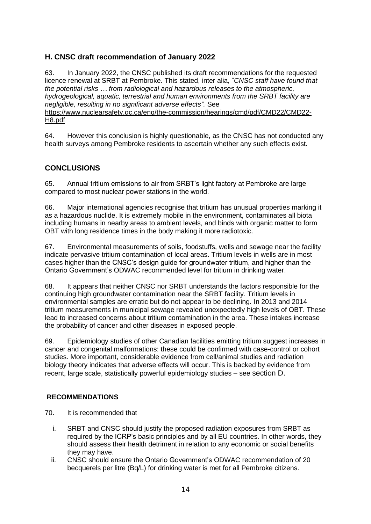## **H. CNSC draft recommendation of January 2022**

63. In January 2022, the CNSC published its draft recommendations for the requested licence renewal at SRBT at Pembroke. This stated, inter alia, "*CNSC staff have found that the potential risks … from radiological and hazardous releases to the atmospheric, hydrogeological, aquatic, terrestrial and human environments from the SRBT facility are negligible, resulting in no significant adverse effects".* See [https://www.nuclearsafety.gc.ca/eng/the-commission/hearings/cmd/pdf/CMD22/CMD22-](https://www.nuclearsafety.gc.ca/eng/the-commission/hearings/cmd/pdf/CMD22/CMD22-H8.pdf) [H8.pdf](https://www.nuclearsafety.gc.ca/eng/the-commission/hearings/cmd/pdf/CMD22/CMD22-H8.pdf)

64. However this conclusion is highly questionable, as the CNSC has not conducted any health surveys among Pembroke residents to ascertain whether any such effects exist.

#### **CONCLUSIONS**

65. Annual tritium emissions to air from SRBT's light factory at Pembroke are large compared to most nuclear power stations in the world.

66. Major international agencies recognise that tritium has unusual properties marking it as a hazardous nuclide. It is extremely mobile in the environment, contaminates all biota including humans in nearby areas to ambient levels, and binds with organic matter to form OBT with long residence times in the body making it more radiotoxic.

67. Environmental measurements of soils, foodstuffs, wells and sewage near the facility indicate pervasive tritium contamination of local areas. Tritium levels in wells are in most cases higher than the CNSC's design guide for groundwater tritium, and higher than the Ontario Government's ODWAC recommended level for tritium in drinking water.

68. It appears that neither CNSC nor SRBT understands the factors responsible for the continuing high groundwater contamination near the SRBT facility. Tritium levels in environmental samples are erratic but do not appear to be declining. In 2013 and 2014 tritium measurements in municipal sewage revealed unexpectedly high levels of OBT. These lead to increased concerns about tritium contamination in the area. These intakes increase the probability of cancer and other diseases in exposed people.

69. Epidemiology studies of other Canadian facilities emitting tritium suggest increases in cancer and congenital malformations: these could be confirmed with case-control or cohort studies. More important, considerable evidence from cell/animal studies and radiation biology theory indicates that adverse effects will occur. This is backed by evidence from recent, large scale, statistically powerful epidemiology studies – see section D.

#### **RECOMMENDATIONS**

- 70. It is recommended that
	- i. SRBT and CNSC should justify the proposed radiation exposures from SRBT as required by the ICRP's basic principles and by all EU countries. In other words, they should assess their health detriment in relation to any economic or social benefits they may have.
	- ii. CNSC should ensure the Ontario Government's ODWAC recommendation of 20 becquerels per litre (Bq/L) for drinking water is met for all Pembroke citizens.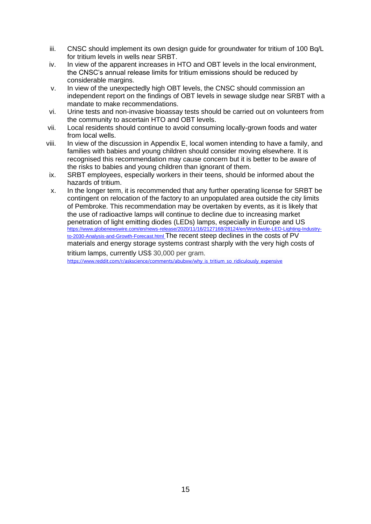- iii. CNSC should implement its own design guide for groundwater for tritium of 100 Bq/L for tritium levels in wells near SRBT.
- iv. In view of the apparent increases in HTO and OBT levels in the local environment, the CNSC's annual release limits for tritium emissions should be reduced by considerable margins.
- v. In view of the unexpectedly high OBT levels, the CNSC should commission an independent report on the findings of OBT levels in sewage sludge near SRBT with a mandate to make recommendations.
- vi. Urine tests and non-invasive bioassay tests should be carried out on volunteers from the community to ascertain HTO and OBT levels.
- vii. Local residents should continue to avoid consuming locally-grown foods and water from local wells.
- viii. In view of the discussion in Appendix E, local women intending to have a family, and families with babies and young children should consider moving elsewhere. It is recognised this recommendation may cause concern but it is better to be aware of the risks to babies and young children than ignorant of them.
- ix. SRBT employees, especially workers in their teens, should be informed about the hazards of tritium.
- x. In the longer term, it is recommended that any further operating license for SRBT be contingent on relocation of the factory to an unpopulated area outside the city limits of Pembroke. This recommendation may be overtaken by events, as it is likely that the use of radioactive lamps will continue to decline due to increasing market penetration of light emitting diodes (LEDs) lamps, especially in Europe and US [https://www.globenewswire.com/en/news-release/2020/11/16/2127168/28124/en/Worldwide-LED-Lighting-Industry](https://www.globenewswire.com/en/news-release/2020/11/16/2127168/28124/en/Worldwide-LED-Lighting-Industry-to-2030-Analysis-and-Growth-Forecast.html)[to-2030-Analysis-and-Growth-Forecast.html](https://www.globenewswire.com/en/news-release/2020/11/16/2127168/28124/en/Worldwide-LED-Lighting-Industry-to-2030-Analysis-and-Growth-Forecast.html) The recent steep declines in the costs of PV materials and energy storage systems contrast sharply with the very high costs of tritium lamps, currently US\$ 30,000 per gram.

[https://www.reddit.com/r/askscience/comments/abubxw/why\\_is\\_tritium\\_so\\_ridiculously\\_expensive](https://www.reddit.com/r/askscience/comments/abubxw/why_is_tritium_so_ridiculously_expensive)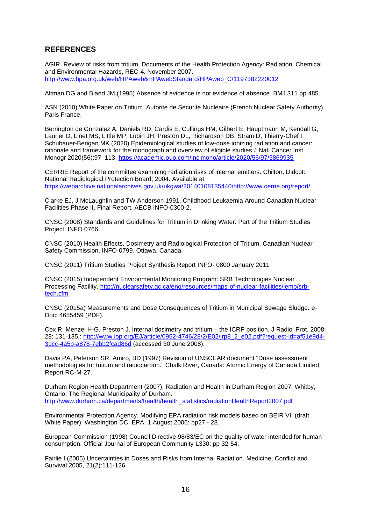#### **REFERENCES**

AGIR. Review of risks from tritium. Documents of the Health Protection Agency: Radiation, Chemical and Environmental Hazards, REC-4. November 2007. [http://www.hpa.org.uk/web/HPAweb&HPAwebStandard/HPAweb\\_C/1197382220012](http://www.hpa.org.uk/web/HPAweb&HPAwebStandard/HPAweb_C/1197382220012)

Altman DG and Bland JM (1995) Absence of evidence is not evidence of absence. BMJ 311 pp 485.

ASN (2010) White Paper on Tritium. Autorite de Securite Nucleaire (French Nuclear Safety Authority). Paris France.

Berrington de Gonzalez A, Daniels RD, Cardis E, Cullings HM, Gilbert E, Hauptmann M, Kendall G, Laurier D, Linet MS, Little MP, Lubin JH, Preston DL, Richardson DB, Stram D, Thierry-Chef I, Schubauer-Berigan MK (2020) Epidemiological studies of low-dose ionizing radiation and cancer: rationale and framework for the monograph and overview of eligible studies J Natl Cancer Inst Monogr 2020(56):97–113.<https://academic.oup.com/jncimono/article/2020/56/97/5869935>

CERRIE Report of the committee examining radiation risks of internal emitters. Chilton, Didcot: National Radiological Protection Board; 2004. Available at [https://webarchive.nationalarchives.gov.uk/ukgwa/20140108135440/http://www.cerrie.org/report/](https://webarchive.nationalarchives.gov.uk/ukgwa/20140108135440/http:/www.cerrie.org/report/)

Clarke EJ, J McLaughlin and TW Anderson 1991. Childhood Leukaemia Around Canadian Nuclear Facilities Phase II. Final Report. AECB INFO-0300-2.

CNSC (2008) Standards and Guidelines for Tritium in Drinking Water. Part of the Tritium Studies Project. INFO 0766.

CNSC (2010) Health Effects, Dosimetry and Radiological Protection of Tritium. Canadian Nuclear Safety Commission. INFO-0799. Ottawa, Canada.

CNSC (2011) Tritium Studies Project Synthesis Report INFO- 0800 January 2011

CNSC (2015) Independent Environmental Monitoring Program: SRB Technologies Nuclear Processing Facility. [http://nuclearsafety.gc.ca/eng/resources/maps-of-nuclear-facilities/iemp/srb](http://nuclearsafety.gc.ca/eng/resources/maps-of-nuclear-facilities/iemp/srb-tech.cfm)[tech.cfm](http://nuclearsafety.gc.ca/eng/resources/maps-of-nuclear-facilities/iemp/srb-tech.cfm)

CNSC (2015a) Measurements and Dose Consequences of Tritium in Municipal Sewage Sludge. e-Doc: 4655459 (PDF).

Cox R, Menzel H-G, Preston J. Internal dosimetry and tritium – the ICRP position. J Radiol Prot. 2008; 28: 131-135.: [http://www.iop.org/EJ/article/0952-4746/28/2/E02/jrp8\\_2\\_e02.pdf?request-id=af51e9d4-](http://www.iop.org/EJ/article/0952-4746/28/2/E02/jrp8_2_e02.pdf?request-id=af51e9d4-3bcc-4a5b-a878-7ebb2fcad86d) [3bcc-4a5b-a878-7ebb2fcad86d](http://www.iop.org/EJ/article/0952-4746/28/2/E02/jrp8_2_e02.pdf?request-id=af51e9d4-3bcc-4a5b-a878-7ebb2fcad86d) (accessed 30 June 2008).

Davis PA, Peterson SR, Amiro, BD (1997) Revision of UNSCEAR document "Dose assessment methodologies for tritium and radiocarbon." Chalk River, Canada: Atomic Energy of Canada Limited; Report RC-M-27.

Durham Region Health Department (2007), Radiation and Health in Durham Region 2007. Whitby, Ontario: The Regional Municipality of Durham. [http://www.durham.ca/departments/health/health\\_statistics/radiationHealthReport2007.pdf](http://www.durham.ca/departments/health/health_statistics/radiationHealthReport2007.pdf)

Environmental Protection Agency. Modifying EPA radiation risk models based on BEIR VII (draft White Paper). Washington DC: EPA, 1 August 2006: pp27 - 28.

European Commission (1998) Council Directive 98/83/EC on the quality of water intended for human consumption. Official Journal of European Community L330: pp 32-54.

Fairlie I (2005) Uncertainties in Doses and Risks from Internal Radiation. Medicine, Conflict and Survival 2005, 21(2):111-126.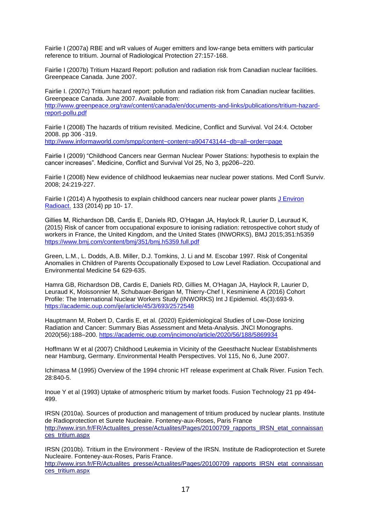Fairlie I (2007a) RBE and wR values of Auger emitters and low-range beta emitters with particular reference to tritium. Journal of Radiological Protection 27:157-168.

Fairlie I (2007b) Tritium Hazard Report: pollution and radiation risk from Canadian nuclear facilities. Greenpeace Canada. June 2007.

Fairlie I. (2007c) Tritium hazard report: pollution and radiation risk from Canadian nuclear facilities. Greenpeace Canada. June 2007. Available from: [http://www.greenpeace.org/raw/content/canada/en/documents-and-links/publications/tritium-hazard](http://www.greenpeace.org/raw/content/canada/en/documents-and-links/publications/tritium-hazard-report-pollu.pdf)[report-pollu.pdf](http://www.greenpeace.org/raw/content/canada/en/documents-and-links/publications/tritium-hazard-report-pollu.pdf)

Fairlie I (2008) The hazards of tritium revisited. Medicine, Conflict and Survival. Vol 24:4. October 2008. pp 306 -319.

<http://www.informaworld.com/smpp/content~content=a904743144~db=all~order=page>

Fairlie I (2009) "Childhood Cancers near German Nuclear Power Stations: hypothesis to explain the cancer increases". Medicine, Conflict and Survival Vol 25, No 3, pp206–220.

Fairlie I (2008) New evidence of childhood leukaemias near nuclear power stations. Med Confl Surviv. 2008; 24:219-227.

Fairlie I (2014) A hypothesis to explain childhood cancers near nuclear power plants [J Environ](http://www.ncbi.nlm.nih.gov/pubmed/24054083)  [Radioact.](http://www.ncbi.nlm.nih.gov/pubmed/24054083) 133 (2014) pp 10- 17.

Gillies M, Richardson DB, Cardis E, Daniels RD, O'Hagan JA, Haylock R, Laurier D, Leuraud K, (2015) Risk of cancer from occupational exposure to ionising radiation: retrospective cohort study of workers in France, the United Kingdom, and the United States (INWORKS), BMJ 2015;351:h5359 <https://www.bmj.com/content/bmj/351/bmj.h5359.full.pdf>

Green, L.M., L. Dodds, A.B. Miller, D.J. Tomkins, J. Li and M. Escobar 1997. Risk of Congenital Anomalies in Children of Parents Occupationally Exposed to Low Level Radiation. Occupational and Environmental Medicine 54 629-635.

Hamra GB, Richardson DB, Cardis E, Daniels RD, Gillies M, O'Hagan JA, Haylock R, Laurier D, Leuraud K, Moissonnier M, Schubauer-Berigan M, Thierry-Chef I, Kesminiene A (2016) Cohort Profile: The International Nuclear Workers Study (INWORKS) Int J Epidemiol. 45(3):693-9. <https://academic.oup.com/ije/article/45/3/693/2572548>

Hauptmann M, Robert D, Cardis E, et al. (2020) Epidemiological Studies of Low-Dose Ionizing Radiation and Cancer: Summary Bias Assessment and Meta-Analysis. JNCI Monographs. 2020(56):188–200.<https://academic.oup.com/jncimono/article/2020/56/188/5869934>

Hoffmann W et al (2007) Childhood Leukemia in Vicinity of the Geesthacht Nuclear Establishments near Hamburg, Germany. Environmental Health Perspectives. Vol 115, No 6, June 2007.

Ichimasa M (1995) Overview of the 1994 chronic HT release experiment at Chalk River. Fusion Tech. 28:840-5.

Inoue Y et al (1993) Uptake of atmospheric tritium by market foods. Fusion Technology 21 pp 494- 499.

IRSN (2010a). Sources of production and management of tritium produced by nuclear plants. Institute de Radioprotection et Surete Nucleaire. Fonteney-aux-Roses, Paris France http://www.irsn.fr/FR/Actualites\_presse/Actualites/Pages/20100709\_rapports\_IRSN\_etat\_connaissan ces\_tritium.aspx

IRSN (2010b). Tritium in the Environment - Review of the IRSN. Institute de Radioprotection et Surete Nucleaire. Fonteney-aux-Roses, Paris France. http://www.irsn.fr/FR/Actualites\_presse/Actualites/Pages/20100709\_rapports\_IRSN\_etat\_connaissan ces\_tritium.aspx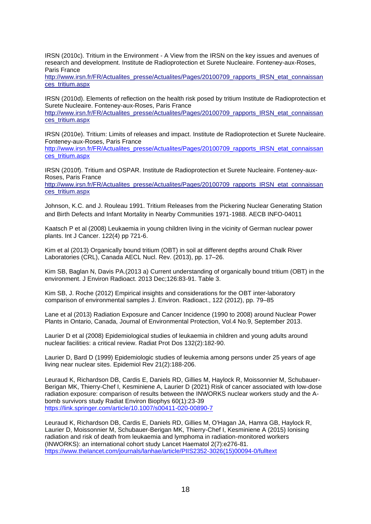IRSN (2010c). Tritium in the Environment - A View from the IRSN on the key issues and avenues of research and development. Institute de Radioprotection et Surete Nucleaire. Fonteney-aux-Roses, Paris France

http://www.irsn.fr/FR/Actualites\_presse/Actualites/Pages/20100709\_rapports\_IRSN\_etat\_connaissan ces\_tritium.aspx

IRSN (2010d). Elements of reflection on the health risk posed by tritium Institute de Radioprotection et Surete Nucleaire. Fonteney-aux-Roses, Paris France

http://www.irsn.fr/FR/Actualites\_presse/Actualites/Pages/20100709\_rapports\_IRSN\_etat\_connaissan ces\_tritium.aspx

IRSN (2010e). Tritium: Limits of releases and impact. Institute de Radioprotection et Surete Nucleaire. Fonteney-aux-Roses, Paris France

[http://www.irsn.fr/FR/Actualites\\_presse/Actualites/Pages/20100709\\_rapports\\_IRSN\\_etat\\_connaissan](http://www.irsn.fr/FR/Actualites_presse/Actualites/Pages/20100709_rapports_IRSN_etat_connaissances_tritium.aspx) [ces\\_tritium.aspx](http://www.irsn.fr/FR/Actualites_presse/Actualites/Pages/20100709_rapports_IRSN_etat_connaissances_tritium.aspx)

IRSN (2010f). Tritium and OSPAR. Institute de Radioprotection et Surete Nucleaire. Fonteney-aux-Roses, Paris France

http://www.irsn.fr/FR/Actualites\_presse/Actualites/Pages/20100709\_rapports\_IRSN\_etat\_connaissan ces\_tritium.aspx

Johnson, K.C. and J. Rouleau 1991. Tritium Releases from the Pickering Nuclear Generating Station and Birth Defects and Infant Mortality in Nearby Communities 1971-1988. AECB INFO-04011

Kaatsch P et al (2008) Leukaemia in young children living in the vicinity of German nuclear power plants. Int J Cancer. 122(4) pp 721-6.

Kim et al (2013) Organically bound tritium (OBT) in soil at different depths around Chalk River Laboratories (CRL), Canada AECL Nucl. Rev. (2013), pp. 17–26.

Kim SB, Baglan N, Davis PA.(2013 a) [Current understanding of organically](http://www.ncbi.nlm.nih.gov/pubmed/23962797) bound tritium (OBT) in the [environment.](http://www.ncbi.nlm.nih.gov/pubmed/23962797) J Environ Radioact. 2013 Dec;126:83-91. Table 3.

Kim SB, J. Roche (2012) Empirical insights and considerations for the OBT inter-laboratory comparison of environmental samples J. Environ. Radioact., 122 (2012), pp. 79–85

Lane et al (2013) Radiation Exposure and Cancer Incidence (1990 to 2008) around Nuclear Power Plants in Ontario, Canada, Journal of Environmental Protection, Vol.4 No.9, September 2013.

Laurier D et al (2008) Epidemiological studies of leukaemia in children and young adults around nuclear facilities: a critical review. Radiat Prot Dos 132(2):182-90.

Laurier D, Bard D (1999) Epidemiologic studies of leukemia among persons under 25 years of age living near nuclear sites. Epidemiol Rev 21(2):188-206.

Leuraud K, Richardson DB, Cardis E, Daniels RD, Gillies M, Haylock R, Moissonnier M, Schubauer-Berigan MK, Thierry-Chef I, Kesminiene A, Laurier D (2021) Risk of cancer associated with low-dose radiation exposure: comparison of results between the INWORKS nuclear workers study and the Abomb survivors study Radiat Environ Biophys 60(1):23-39 <https://link.springer.com/article/10.1007/s00411-020-00890-7>

Leuraud K, Richardson DB, Cardis E, Daniels RD, Gillies M, O'Hagan JA, Hamra GB, Haylock R, Laurier D, Moissonnier M, Schubauer-Berigan MK, Thierry-Chef I, Kesminiene A (2015) Ionising radiation and risk of death from leukaemia and lymphoma in radiation-monitored workers (INWORKS): an international cohort study Lancet Haematol 2(7):e276-81. [https://www.thelancet.com/journals/lanhae/article/PIIS2352-3026\(15\)00094-0/fulltext](https://www.thelancet.com/journals/lanhae/article/PIIS2352-3026(15)00094-0/fulltext)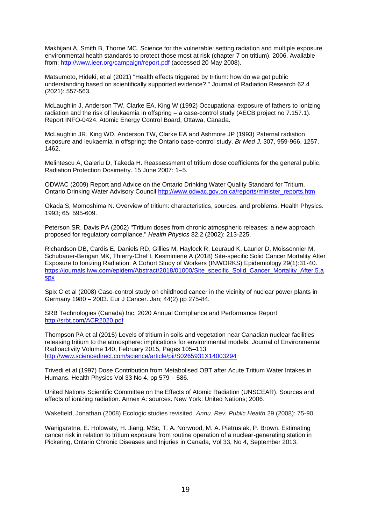Makhijani A, Smith B, Thorne MC. Science for the vulnerable: setting radiation and multiple exposure environmental health standards to protect those most at risk (chapter 7 on tritium). 2006. Available from:<http://www.ieer.org/campaign/report.pdf> (accessed 20 May 2008).

Matsumoto, Hideki, et al (2021) "Health effects triggered by tritium: how do we get public understanding based on scientifically supported evidence?." Journal of Radiation Research 62.4 (2021): 557-563.

McLaughlin J, Anderson TW, Clarke EA, King W (1992) Occupational exposure of fathers to ionizing radiation and the risk of leukaemia in offspring – a case-control study (AECB project no 7.157.1). Report INFO-0424. Atomic Energy Control Board, Ottawa, Canada.

McLaughlin JR, King WD, Anderson TW, Clarke EA and Ashmore JP (1993) Paternal radiation exposure and leukaemia in offspring: the Ontario case-control study. *Br Med J,* 307, 959-966, 1257, 1462.

Melintescu A, Galeriu D, Takeda H. Reassessment of tritium dose coefficients for the general public. Radiation Protection Dosimetry. 15 June 2007: 1–5.

ODWAC (2009) Report and Advice on the Ontario Drinking Water Quality Standard for Tritium. Ontario Drinking Water Advisory Council [http://www.odwac.gov.on.ca/reports/minister\\_reports.htm](http://www.odwac.gov.on.ca/reports/minister_reports.htm)

Okada S, Momoshima N. Overview of tritium: characteristics, sources, and problems. Health Physics. 1993; 65: 595-609.

Peterson SR, Davis PA (2002) "Tritium doses from chronic atmospheric releases: a new approach proposed for regulatory compliance." *Health Physics* 82.2 (2002): 213-225.

Richardson DB, Cardis E, Daniels RD, Gillies M, Haylock R, Leuraud K, Laurier D, Moissonnier M, Schubauer-Berigan MK, Thierry-Chef I, Kesminiene A (2018) Site-specific Solid Cancer Mortality After Exposure to Ionizing Radiation: A Cohort Study of Workers (INWORKS) Epidemiology 29(1):31-40. [https://journals.lww.com/epidem/Abstract/2018/01000/Site\\_specific\\_Solid\\_Cancer\\_Mortality\\_After.5.a](https://journals.lww.com/epidem/Abstract/2018/01000/Site_specific_Solid_Cancer_Mortality_After.5.aspx) [spx](https://journals.lww.com/epidem/Abstract/2018/01000/Site_specific_Solid_Cancer_Mortality_After.5.aspx)

Spix C et al (2008) Case-control study on childhood cancer in the vicinity of nuclear power plants in Germany 1980 – 2003. Eur J Cancer. Jan; 44(2) pp 275-84.

SRB Technologies (Canada) Inc, 2020 Annual Compliance and Performance Report <http://srbt.com/ACR2020.pdf>

Thompson PA et al (2015) Levels of tritium in soils and vegetation near Canadian nuclear facilities releasing tritium to the atmosphere: implications for environmental models. [Journal of Environmental](http://www.sciencedirect.com/science/journal/0265931X)  [Radioactivity](http://www.sciencedirect.com/science/journal/0265931X) [Volume 140,](http://www.sciencedirect.com/science/journal/0265931X/140/supp/C) February 2015, Pages 105–113 <http://www.sciencedirect.com/science/article/pii/S0265931X14003294>

Trivedi et al (1997) Dose Contribution from Metabolised OBT after Acute Tritium Water Intakes in Humans. Health Physics Vol 33 No 4. pp 579 – 586.

United Nations Scientific Committee on the Effects of Atomic Radiation (UNSCEAR). Sources and effects of ionizing radiation. Annex A: sources. New York: United Nations; 2006.

Wakefield, Jonathan (2008) Ecologic studies revisited. *Annu. Rev. Public Health* 29 (2008): 75-90.

Wanigaratne, E. Holowaty, H. Jiang, MSc, T. A. Norwood, M. A. Pietrusiak, P. Brown, Estimating cancer risk in relation to tritium exposure from routine operation of a nuclear-generating station in Pickering, Ontario Chronic Diseases and Injuries in Canada, Vol 33, No 4, September 2013.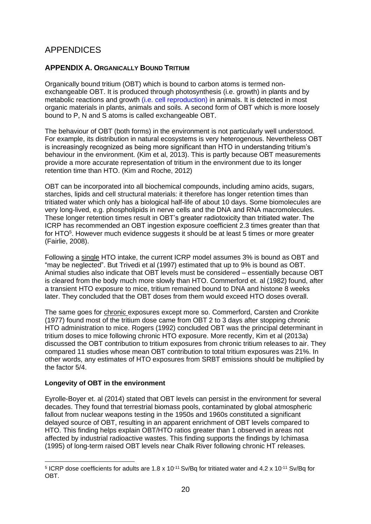# APPENDICES

#### **APPENDIX A. ORGANICALLY BOUND TRITIUM**

Organically bound tritium (OBT) which is bound to carbon atoms is termed nonexchangeable OBT. It is produced through photosynthesis (i.e. growth) in plants and by metabolic reactions and growth (i.e. cell reproduction) in animals. It is detected in most organic materials in plants, animals and soils. A second form of OBT which is more loosely bound to P, N and S atoms is called exchangeable OBT.

The behaviour of OBT (both forms) in the environment is not particularly well understood. For example, its distribution in natural ecosystems is very heterogenous. Nevertheless OBT is increasingly recognized as being more significant than HTO in understanding tritium's behaviour in the environment. (Kim et al, 2013). This is partly because OBT measurements provide a more accurate representation of tritium in the environment due to its longer retention time than HTO. (Kim and Roche, 2012)

OBT can be incorporated into all biochemical compounds, including amino acids, sugars, starches, lipids and cell structural materials: it therefore has longer retention times than tritiated water which only has a biological half-life of about 10 days. Some biomolecules are very long-lived, e.g. phospholipids in nerve cells and the DNA and RNA macromolecules. These longer retention times result in OBT's greater radiotoxicity than tritiated water. The ICRP has recommended an OBT ingestion exposure coefficient 2.3 times greater than that for HTO<sup>5</sup>. However much evidence suggests it should be at least 5 times or more greater (Fairlie, 2008).

Following a single HTO intake, the current ICRP model assumes 3% is bound as OBT and "may be neglected". But Trivedi et al (1997) estimated that up to 9% is bound as OBT. Animal studies also indicate that OBT levels must be considered – essentially because OBT is cleared from the body much more slowly than HTO. Commerford et. al (1982) found, after a transient HTO exposure to mice, tritium remained bound to DNA and histone 8 weeks later. They concluded that the OBT doses from them would exceed HTO doses overall.

The same goes for chronic exposures except more so. Commerford, Carsten and Cronkite (1977) found most of the tritium dose came from OBT 2 to 3 days after stopping chronic HTO administration to mice. Rogers (1992) concluded OBT was the principal determinant in tritium doses to mice following chronic HTO exposure. More recently, Kim et al (2013a) discussed the OBT contribution to tritium exposures from chronic tritium releases to air. They compared 11 studies whose mean OBT contribution to total tritium exposures was 21%. In other words, any estimates of HTO exposures from SRBT emissions should be multiplied by the factor 5/4.

#### **Longevity of OBT in the environment**

Eyrolle-Boyer et. al (2014) stated that OBT levels can persist in the environment for several decades. They found that terrestrial biomass pools, contaminated by global atmospheric fallout from nuclear weapons testing in the 1950s and 1960s constituted a significant delayed source of OBT, resulting in an apparent enrichment of OBT levels compared to HTO. This finding helps explain OBT/HTO ratios greater than 1 observed in areas not affected by industrial radioactive wastes. This finding supports the findings by Ichimasa (1995) of long-term raised OBT levels near Chalk River following chronic HT releases.

<sup>&</sup>lt;sup>5</sup> ICRP dose coefficients for adults are 1.8 x 10<sup>-11</sup> Sv/Bq for tritiated water and 4.2 x 10<sup>-11</sup> Sv/Bq for OBT.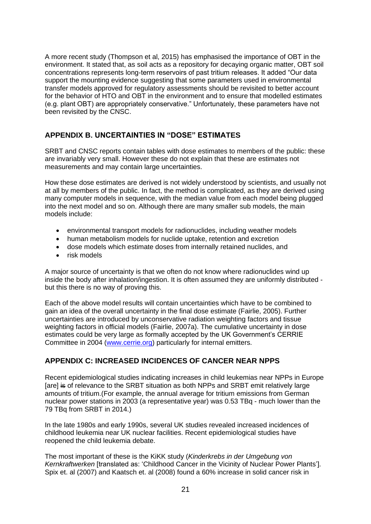A more recent study (Thompson et al, 2015) has emphasised the importance of OBT in the environment. It stated that, as soil acts as a repository for decaying organic matter, OBT soil concentrations represents long-term reservoirs of past tritium releases. It added "Our data support the mounting evidence suggesting that some parameters used in environmental transfer models approved for regulatory assessments should be revisited to better account for the behavior of HTO and OBT in the environment and to ensure that modelled estimates (e.g. plant OBT) are appropriately conservative." Unfortunately, these parameters have not been revisited by the CNSC.

## **APPENDIX B. UNCERTAINTIES IN "DOSE" ESTIMATES**

SRBT and CNSC reports contain tables with dose estimates to members of the public: these are invariably very small. However these do not explain that these are estimates not measurements and may contain large uncertainties.

How these dose estimates are derived is not widely understood by scientists, and usually not at all by members of the public. In fact, the method is complicated, as they are derived using many computer models in sequence, with the median value from each model being plugged into the next model and so on. Although there are many smaller sub models, the main models include:

- environmental transport models for radionuclides, including weather models
- human metabolism models for nuclide uptake, retention and excretion
- dose models which estimate doses from internally retained nuclides, and
- risk models

A major source of uncertainty is that we often do not know where radionuclides wind up inside the body after inhalation/ingestion. It is often assumed they are uniformly distributed but this there is no way of proving this.

Each of the above model results will contain uncertainties which have to be combined to gain an idea of the overall uncertainty in the final dose estimate (Fairlie, 2005). Further uncertainties are introduced by unconservative radiation weighting factors and tissue weighting factors in official models (Fairlie, 2007a). The cumulative uncertainty in dose estimates could be very large as formally accepted by the UK Government's CERRIE Committee in 2004 [\(www.cerrie.org\)](http://www.cerrie.org/) particularly for internal emitters.

#### **APPENDIX C: INCREASED INCIDENCES OF CANCER NEAR NPPS**

Recent epidemiological studies indicating increases in child leukemias near NPPs in Europe [are] is of relevance to the SRBT situation as both NPPs and SRBT emit relatively large amounts of tritium.(For example, the annual average for tritium emissions from German nuclear power stations in 2003 (a representative year) was 0.53 TBq - much lower than the 79 TBq from SRBT in 2014.)

In the late 1980s and early 1990s, several UK studies revealed increased incidences of childhood leukemia near UK nuclear facilities. Recent epidemiological studies have reopened the child leukemia debate.

The most important of these is the KiKK study (*Kinderkrebs in der Umgebung von Kernkraftwerken* [translated as: 'Childhood Cancer in the Vicinity of Nuclear Power Plants']. Spix et. al (2007) and Kaatsch et. al (2008) found a 60% increase in solid cancer risk in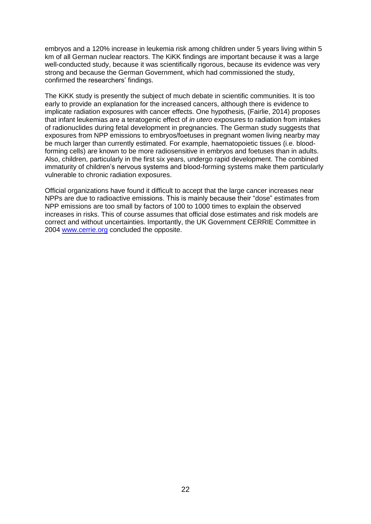embryos and a 120% increase in leukemia risk among children under 5 years living within 5 km of all German nuclear reactors. The KiKK findings are important because it was a large well-conducted study, because it was scientifically rigorous, because its evidence was very strong and because the German Government, which had commissioned the study, confirmed the researchers' findings.

The KiKK study is presently the subject of much debate in scientific communities. It is too early to provide an explanation for the increased cancers, although there is evidence to implicate radiation exposures with cancer effects. One hypothesis, (Fairlie, 2014) proposes that infant leukemias are a teratogenic effect of *in utero* exposures to radiation from intakes of radionuclides during fetal development in pregnancies. The German study suggests that exposures from NPP emissions to embryos/foetuses in pregnant women living nearby may be much larger than currently estimated. For example, haematopoietic tissues (i.e. bloodforming cells) are known to be more radiosensitive in embryos and foetuses than in adults. Also, children, particularly in the first six years, undergo rapid development. The combined immaturity of children's nervous systems and blood-forming systems make them particularly vulnerable to chronic radiation exposures.

Official organizations have found it difficult to accept that the large cancer increases near NPPs are due to radioactive emissions. This is mainly because their "dose" estimates from NPP emissions are too small by factors of 100 to 1000 times to explain the observed increases in risks. This of course assumes that official dose estimates and risk models are correct and without uncertainties. Importantly, the UK Government CERRIE Committee in 2004 [www.cerrie.org](http://www.cerrie.org/) concluded the opposite.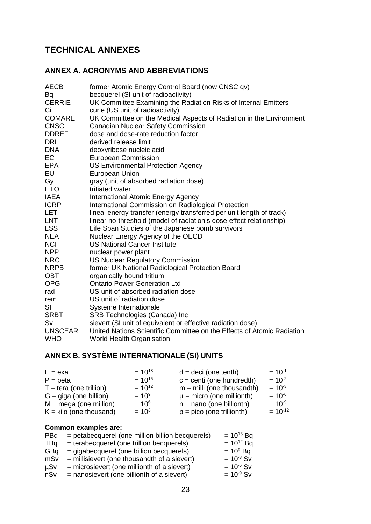# **TECHNICAL ANNEXES**

## **ANNEX A. ACRONYMS AND ABBREVIATIONS**

| AECB           | former Atomic Energy Control Board (now CNSC qv)                       |
|----------------|------------------------------------------------------------------------|
| Bq             | becquerel (SI unit of radioactivity)                                   |
| <b>CERRIE</b>  | UK Committee Examining the Radiation Risks of Internal Emitters        |
| Ci             | curie (US unit of radioactivity)                                       |
| <b>COMARE</b>  | UK Committee on the Medical Aspects of Radiation in the Environment    |
| <b>CNSC</b>    | <b>Canadian Nuclear Safety Commission</b>                              |
| <b>DDREF</b>   | dose and dose-rate reduction factor                                    |
| <b>DRL</b>     | derived release limit                                                  |
| <b>DNA</b>     | deoxyribose nucleic acid                                               |
| EC             | <b>European Commission</b>                                             |
| EPA            | <b>US Environmental Protection Agency</b>                              |
| EU             | <b>European Union</b>                                                  |
| Gy             | gray (unit of absorbed radiation dose)                                 |
| HTO            | tritiated water                                                        |
| IAEA           | International Atomic Energy Agency                                     |
| <b>ICRP</b>    | International Commission on Radiological Protection                    |
| LET            | lineal energy transfer (energy transferred per unit length of track)   |
| LNT            | linear no-threshold (model of radiation's dose-effect relationship)    |
| LSS            | Life Span Studies of the Japanese bomb survivors                       |
| <b>NEA</b>     | Nuclear Energy Agency of the OECD                                      |
| <b>NCI</b>     | <b>US National Cancer Institute</b>                                    |
| <b>NPP</b>     | nuclear power plant                                                    |
| <b>NRC</b>     | <b>US Nuclear Regulatory Commission</b>                                |
| <b>NRPB</b>    | former UK National Radiological Protection Board                       |
| OBT            | organically bound tritium                                              |
| <b>OPG</b>     | <b>Ontario Power Generation Ltd</b>                                    |
| rad            | US unit of absorbed radiation dose                                     |
| rem            | US unit of radiation dose                                              |
| SI             | Systeme Internationale                                                 |
| <b>SRBT</b>    | SRB Technologies (Canada) Inc                                          |
| Sv             | sievert (SI unit of equivalent or effective radiation dose)            |
| <b>UNSCEAR</b> | United Nations Scientific Committee on the Effects of Atomic Radiation |
| WHO            | <b>World Health Organisation</b>                                       |
|                |                                                                        |

# **ANNEX B. SYSTÈME INTERNATIONALE (SI) UNITS**

| $E = exa$                        | $= 10^{18}$ | $d = deci$ (one tenth)        | $= 10^{-1}$  |
|----------------------------------|-------------|-------------------------------|--------------|
| $P = peta$                       | $= 10^{15}$ | $c =$ centi (one hundredth)   | $= 10^{-2}$  |
| $T = \text{tera}$ (one trillion) | $= 10^{12}$ | $m =$ milli (one thousandth)  | $= 10^{-3}$  |
| $G = \text{giga}$ (one billion)  | $= 10^9$    | $\mu$ = micro (one millionth) | $= 10^{-6}$  |
| $M = mega$ (one million)         | $= 10^6$    | $n =$ nano (one billionth)    | $= 10^{-9}$  |
| $K =$ kilo (one thousand)        | $= 10^{3}$  | $p = pico$ (one trillionth)   | $= 10^{-12}$ |

# **Common examples are:**

| PBq        | = petabecquerel (one million billion becquerels) | $= 10^{15}$ Bq |
|------------|--------------------------------------------------|----------------|
| TBq        | = terabecquerel (one trillion becquerels)        | $= 10^{12}$ Bq |
| GBq        | = gigabecquerel (one billion becquerels)         | $= 10^9$ Bq    |
| mSv        | $=$ millisievert (one thousandth of a sievert)   | $= 10^{-3}$ Sv |
| <b>µSv</b> | $=$ microsievert (one millionth of a sievert)    | $= 10^{-6}$ Sv |
| nSv        | $=$ nanosievert (one billionth of a sievert)     | $= 10^{-9}$ Sv |